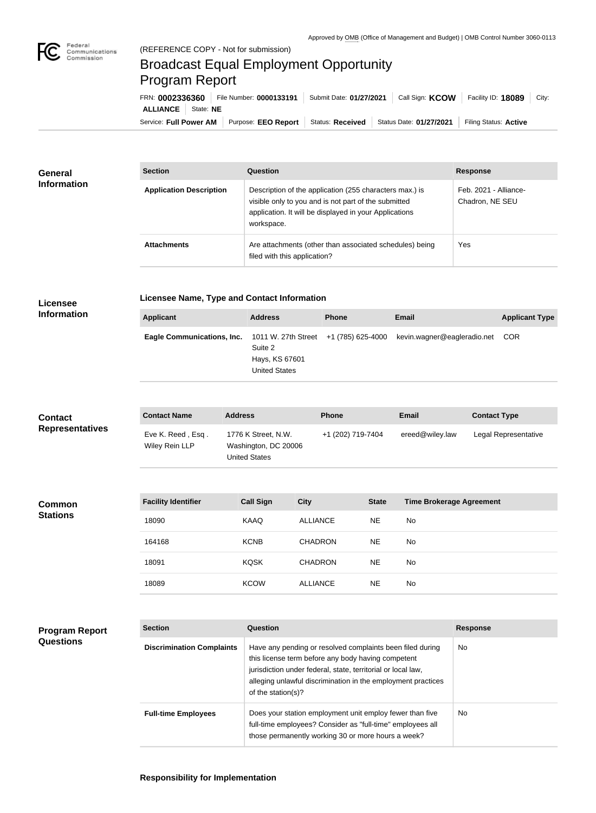

## Broadcast Equal Employment Opportunity Program Report

Service: Full Power AM | Purpose: EEO Report | Status: Received | Status Date: 01/27/2021 | Filing Status: Active **ALLIANCE** State: **NE** FRN: **0002336360** File Number: **0000133191** Submit Date: **01/27/2021** Call Sign: **KCOW** Facility ID: **18089** City:

| General<br><b>Information</b> | <b>Section</b>                 | <b>Question</b>                                                                                                                                                                         | <b>Response</b>                          |
|-------------------------------|--------------------------------|-----------------------------------------------------------------------------------------------------------------------------------------------------------------------------------------|------------------------------------------|
|                               | <b>Application Description</b> | Description of the application (255 characters max.) is<br>visible only to you and is not part of the submitted<br>application. It will be displayed in your Applications<br>workspace. | Feb. 2021 - Alliance-<br>Chadron, NE SEU |
|                               | <b>Attachments</b>             | Are attachments (other than associated schedules) being<br>filed with this application?                                                                                                 | Yes                                      |

## **Licensee Information**

**Licensee Name, Type and Contact Information**

| <b>Applicant</b>                                                            | <b>Address</b>                                    | <b>Phone</b> | <b>Email</b>                    | <b>Applicant Type</b> |
|-----------------------------------------------------------------------------|---------------------------------------------------|--------------|---------------------------------|-----------------------|
| Eagle Communications, Inc. $1011 \text{ W}$ . 27th Street +1 (785) 625-4000 | Suite 2<br>Hays, KS 67601<br><b>United States</b> |              | kevin.wagner@eagleradio.net COR |                       |

| <b>Contact</b><br><b>Representatives</b>  | <b>Contact Name</b>                 | <b>Address</b>                                                      | <b>Phone</b>                                                                                                                                                                                                                                    |              | <b>Email</b>                    | <b>Contact Type</b>  |
|-------------------------------------------|-------------------------------------|---------------------------------------------------------------------|-------------------------------------------------------------------------------------------------------------------------------------------------------------------------------------------------------------------------------------------------|--------------|---------------------------------|----------------------|
|                                           | Eve K. Reed, Esq.<br>Wiley Rein LLP | 1776 K Street, N.W.<br>Washington, DC 20006<br><b>United States</b> | +1 (202) 719-7404                                                                                                                                                                                                                               |              | ereed@wiley.law                 | Legal Representative |
|                                           |                                     |                                                                     |                                                                                                                                                                                                                                                 |              |                                 |                      |
| <b>Common</b><br><b>Stations</b>          | <b>Facility Identifier</b>          | <b>Call Sign</b>                                                    | <b>City</b>                                                                                                                                                                                                                                     | <b>State</b> | <b>Time Brokerage Agreement</b> |                      |
|                                           | 18090                               | <b>KAAQ</b>                                                         | <b>ALLIANCE</b>                                                                                                                                                                                                                                 | <b>NE</b>    | No                              |                      |
|                                           | 164168                              | <b>KCNB</b>                                                         | <b>CHADRON</b>                                                                                                                                                                                                                                  | <b>NE</b>    | No                              |                      |
|                                           | 18091                               | <b>KQSK</b>                                                         | <b>CHADRON</b>                                                                                                                                                                                                                                  | <b>NE</b>    | <b>No</b>                       |                      |
|                                           | 18089                               | <b>KCOW</b>                                                         | <b>ALLIANCE</b>                                                                                                                                                                                                                                 | <b>NE</b>    | No                              |                      |
|                                           |                                     |                                                                     |                                                                                                                                                                                                                                                 |              |                                 |                      |
| <b>Program Report</b><br><b>Questions</b> | <b>Section</b>                      | Question                                                            |                                                                                                                                                                                                                                                 |              |                                 | <b>Response</b>      |
|                                           | <b>Discrimination Complaints</b>    |                                                                     | Have any pending or resolved complaints been filed during<br>this license term before any body having competent<br>jurisdiction under federal, state, territorial or local law,<br>alleging unlawful discrimination in the employment practices |              | <b>No</b>                       |                      |

of the station(s)?

**Full-time Employees** Does your station employment unit employ fewer than five

full-time employees? Consider as "full-time" employees all those permanently working 30 or more hours a week?

No